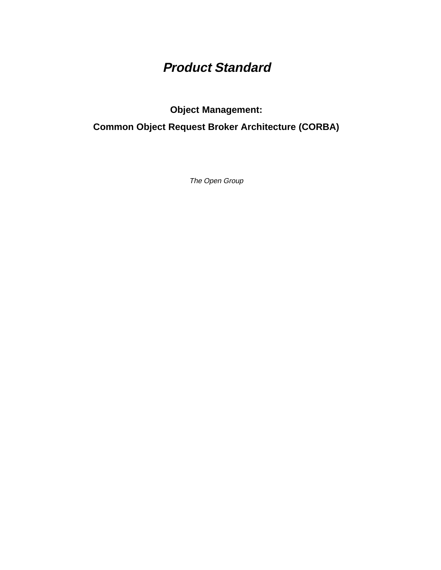# **Product Standard**

**Object Management:**

**Common Object Request Broker Architecture (CORBA)**

The Open Group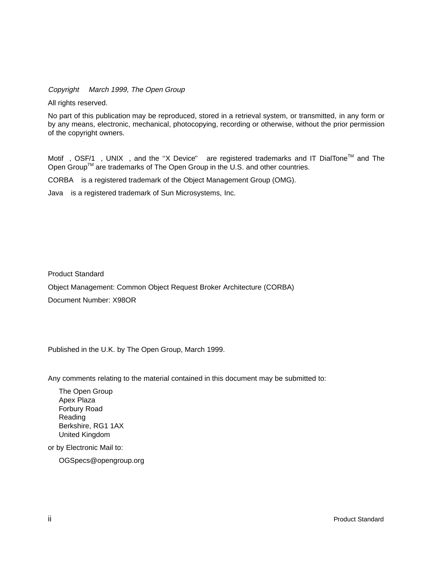Copyright  $\odot$  March 1999, The Open Group

All rights reserved.

No part of this publication may be reproduced, stored in a retrieval system, or transmitted, in any form or by any means, electronic, mechanical, photocopying, recording or otherwise, without the prior permission of the copyright owners.

Motif $^{\circledR}$ , OSF/1 $^{\circledR}$ , UNIX $^{\circledR}$ , and the "X Device" $^{\circledR}$  are registered trademarks and IT DialTone<sup>TM</sup> and The Open Group<sup>TM</sup> are trademarks of The Open Group in the U.S. and other countries.

 $CORBA<sup>(8)</sup>$  is a registered trademark of the Object Management Group (OMG).

Java $^{\circledR}$  is a registered trademark of Sun Microsystems, Inc.

Product Standard

Object Management: Common Object Request Broker Architecture (CORBA) Document Number: X98OR

Published in the U.K. by The Open Group, March 1999.

Any comments relating to the material contained in this document may be submitted to:

The Open Group Apex Plaza Forbury Road Reading Berkshire, RG1 1AX United Kingdom

or by Electronic Mail to:

OGSpecs@opengroup.org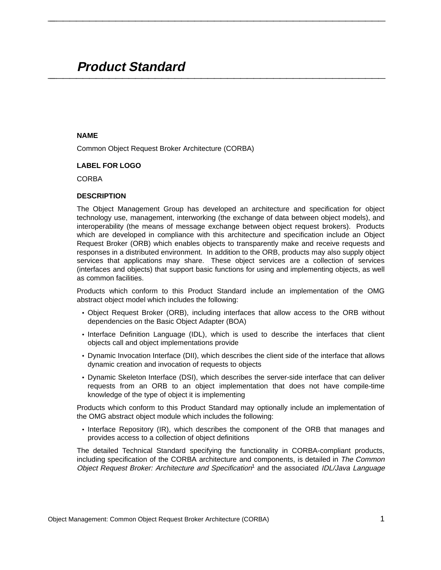## **Product Standard \_\_\_\_\_\_\_\_\_\_\_\_\_\_\_\_\_\_\_\_\_\_\_\_\_\_\_\_\_\_\_\_\_\_\_\_\_\_\_\_\_\_\_\_\_\_\_\_\_\_\_\_**

#### **NAME**

Common Object Request Broker Architecture (CORBA)

## **LABEL FOR LOGO**

CORBA<sup>®</sup>

#### **DESCRIPTION**

The Object Management Group has developed an architecture and specification for object technology use, management, interworking (the exchange of data between object models), and interoperability (the means of message exchange between object request brokers). Products which are developed in compliance with this architecture and specification include an Object Request Broker (ORB) which enables objects to transparently make and receive requests and responses in a distributed environment. In addition to the ORB, products may also supply object services that applications may share. These object services are a collection of services (interfaces and objects) that support basic functions for using and implementing objects, as well as common facilities.

**\_\_\_\_\_\_\_\_\_\_\_\_\_\_\_\_\_\_\_\_\_\_\_\_\_\_\_\_\_\_\_\_\_\_\_\_\_\_\_\_\_\_\_\_\_\_\_\_\_\_\_\_**

Products which conform to this Product Standard include an implementation of the OMG abstract object model which includes the following:

- Object Request Broker (ORB), including interfaces that allow access to the ORB without dependencies on the Basic Object Adapter (BOA)
- Interface Definition Language (IDL), which is used to describe the interfaces that client objects call and object implementations provide
- Dynamic Invocation Interface (DII), which describes the client side of the interface that allows dynamic creation and invocation of requests to objects
- Dynamic Skeleton Interface (DSI), which describes the server-side interface that can deliver requests from an ORB to an object implementation that does not have compile-time knowledge of the type of object it is implementing

Products which conform to this Product Standard may optionally include an implementation of the OMG abstract object module which includes the following:

• Interface Repository (IR), which describes the component of the ORB that manages and provides access to a collection of object definitions

The detailed Technical Standard specifying the functionality in CORBA-compliant products, including specification of the CORBA architecture and components, is detailed in The Common Object Request Broker: Architecture and Specification<sup>1</sup> and the associated IDL/Java Language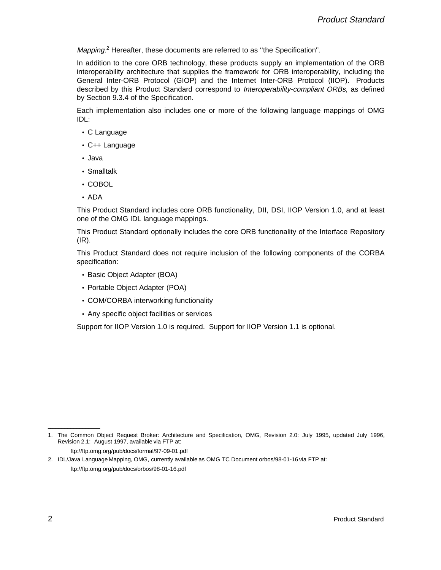Mapping.<sup>2</sup> Hereafter, these documents are referred to as "the Specification".

In addition to the core ORB technology, these products supply an implementation of the ORB interoperability architecture that supplies the framework for ORB interoperability, including the General Inter-ORB Protocol (GIOP) and the Internet Inter-ORB Protocol (IIOP). Products described by this Product Standard correspond to Interoperability-compliant ORBs, as defined by Section 9.3.4 of the Specification.

Each implementation also includes one or more of the following language mappings of OMG IDL:

- C Language
- C++ Language
- Java
- Smalltalk
- COBOL
- ADA

This Product Standard includes core ORB functionality, DII, DSI, IIOP Version 1.0, and at least one of the OMG IDL language mappings.

This Product Standard optionally includes the core ORB functionality of the Interface Repository (IR).

This Product Standard does not require inclusion of the following components of the CORBA specification:

- Basic Object Adapter (BOA)
- Portable Object Adapter (POA)
- COM/CORBA interworking functionality
- Any specific object facilities or services

Support for IIOP Version 1.0 is required. Support for IIOP Version 1.1 is optional.

 $\mathcal{L}$  and  $\mathcal{L}$  are the set of the set of the set of the set of the set of the set of the set of the set of the set of the set of the set of the set of the set of the set of the set of the set of the set of the set

<sup>1.</sup> The Common Object Request Broker: Architecture and Specification, OMG, Revision 2.0: July 1995, updated July 1996, Revision 2.1: August 1997, available via FTP at:

ftp://ftp.omg.org/pub/docs/formal/97-09-01.pdf

<sup>2.</sup> IDL/Java Language Mapping, OMG, currently available as OMG TC Document orbos/98-01-16 via FTP at: ftp://ftp.omg.org/pub/docs/orbos/98-01-16.pdf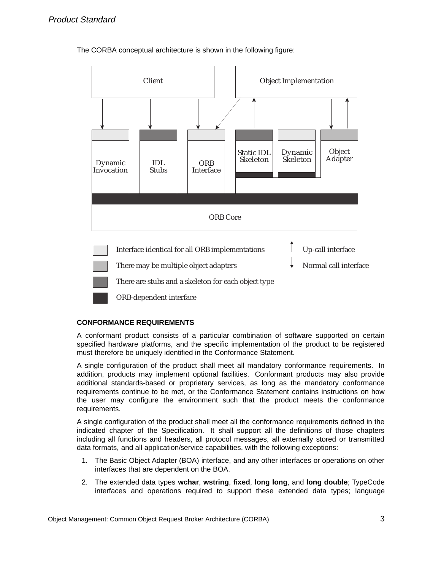The CORBA conceptual architecture is shown in the following figure:



## **CONFORMANCE REQUIREMENTS**

A conformant product consists of a particular combination of software supported on certain specified hardware platforms, and the specific implementation of the product to be registered must therefore be uniquely identified in the Conformance Statement.

A single configuration of the product shall meet all mandatory conformance requirements. In addition, products may implement optional facilities. Conformant products may also provide additional standards-based or proprietary services, as long as the mandatory conformance requirements continue to be met, or the Conformance Statement contains instructions on how the user may configure the environment such that the product meets the conformance requirements.

A single configuration of the product shall meet all the conformance requirements defined in the indicated chapter of the Specification. It shall support all the definitions of those chapters including all functions and headers, all protocol messages, all externally stored or transmitted data formats, and all application/service capabilities, with the following exceptions:

- 1. The Basic Object Adapter (BOA) interface, and any other interfaces or operations on other interfaces that are dependent on the BOA.
- 2. The extended data types **wchar**, **wstring**, **fixed**, **long long**, and **long double**; TypeCode interfaces and operations required to support these extended data types; language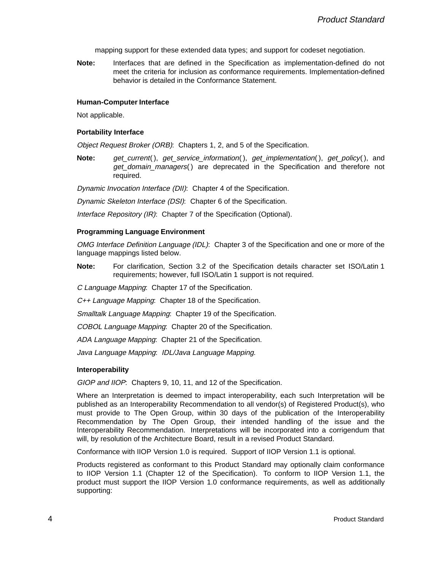mapping support for these extended data types; and support for codeset negotiation.

**Note:** Interfaces that are defined in the Specification as implementation-defined do not meet the criteria for inclusion as conformance requirements. Implementation-defined behavior is detailed in the Conformance Statement.

#### **Human-Computer Interface**

Not applicable.

#### **Portability Interface**

Object Request Broker (ORB): Chapters 1, 2, and 5 of the Specification.

**Note:** get\_current(), get\_service\_information(), get\_implementation(), get\_policy(), and get domain managers() are deprecated in the Specification and therefore not required.

Dynamic Invocation Interface (DII): Chapter 4 of the Specification.

Dynamic Skeleton Interface (DSI): Chapter 6 of the Specification.

Interface Repository (IR): Chapter 7 of the Specification (Optional).

#### **Programming Language Environment**

OMG Interface Definition Language (IDL): Chapter 3 of the Specification and one or more of the language mappings listed below.

**Note:** For clarification, Section 3.2 of the Specification details character set ISO/Latin 1 requirements; however, full ISO/Latin 1 support is not required.

C Language Mapping: Chapter 17 of the Specification.

C++ Language Mapping: Chapter 18 of the Specification.

Smalltalk Language Mapping: Chapter 19 of the Specification.

COBOL Language Mapping: Chapter 20 of the Specification.

ADA Language Mapping: Chapter 21 of the Specification.

Java Language Mapping: IDL/Java Language Mapping.

#### **Interoperability**

GIOP and IIOP: Chapters 9, 10, 11, and 12 of the Specification.

Where an Interpretation is deemed to impact interoperability, each such Interpretation will be published as an Interoperability Recommendation to all vendor(s) of Registered Product(s), who must provide to The Open Group, within 30 days of the publication of the Interoperability Recommendation by The Open Group, their intended handling of the issue and the Interoperability Recommendation. Interpretations will be incorporated into a corrigendum that will, by resolution of the Architecture Board, result in a revised Product Standard.

Conformance with IIOP Version 1.0 is required. Support of IIOP Version 1.1 is optional.

Products registered as conformant to this Product Standard may optionally claim conformance to IIOP Version 1.1 (Chapter 12 of the Specification). To conform to IIOP Version 1.1, the product must support the IIOP Version 1.0 conformance requirements, as well as additionally supporting: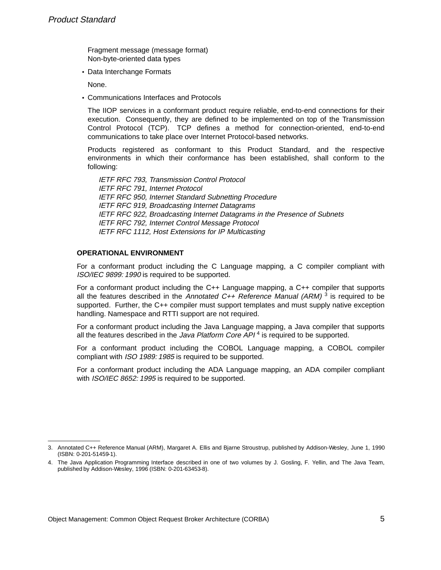\_\_\_\_\_\_\_\_\_\_\_\_\_\_\_\_\_\_

Fragment message (message format) Non-byte-oriented data types

• Data Interchange Formats

None.

• Communications Interfaces and Protocols

The IIOP services in a conformant product require reliable, end-to-end connections for their execution. Consequently, they are defined to be implemented on top of the Transmission Control Protocol (TCP). TCP defines a method for connection-oriented, end-to-end communications to take place over Internet Protocol-based networks.

Products registered as conformant to this Product Standard, and the respective environments in which their conformance has been established, shall conform to the following:

IETF RFC 793, Transmission Control Protocol IETF RFC 791, Internet Protocol IETF RFC 950, Internet Standard Subnetting Procedure IETF RFC 919, Broadcasting Internet Datagrams IETF RFC 922, Broadcasting Internet Datagrams in the Presence of Subnets IETF RFC 792, Internet Control Message Protocol IETF RFC 1112, Host Extensions for IP Multicasting

## **OPERATIONAL ENVIRONMENT**

For a conformant product including the C Language mapping, a C compiler compliant with ISO/IEC 9899: 1990 is required to be supported.

For a conformant product including the C++ Language mapping, a C++ compiler that supports all the features described in the Annotated C++ Reference Manual (ARM)<sup>3</sup> is required to be supported. Further, the C++ compiler must support templates and must supply native exception handling. Namespace and RTTI support are not required.

For a conformant product including the Java Language mapping, a Java compiler that supports all the features described in the Java Platform Core  $API<sup>4</sup>$  is required to be supported.

For a conformant product including the COBOL Language mapping, a COBOL compiler compliant with ISO 1989: 1985 is required to be supported.

For a conformant product including the ADA Language mapping, an ADA compiler compliant with *ISO/IEC 8652: 1995* is required to be supported.

<sup>3.</sup> Annotated C++ Reference Manual (ARM), Margaret A. Ellis and Bjarne Stroustrup, published by Addison-Wesley, June 1, 1990 (ISBN: 0-201-51459-1).

<sup>4.</sup> The Java Application Programming Interface described in one of two volumes by J. Gosling, F. Yellin, and The Java Team, published by Addison-Wesley, 1996 (ISBN: 0-201-63453-8).